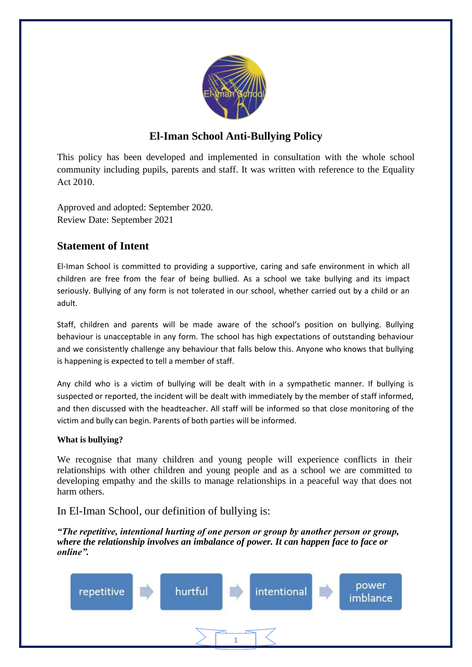

# **El-Iman School Anti-Bullying Policy**

This policy has been developed and implemented in consultation with the whole school community including pupils, parents and staff. It was written with reference to the Equality Act 2010.

Approved and adopted: September 2020. Review Date: September 2021

# **Statement of Intent**

El-Iman School is committed to providing a supportive, caring and safe environment in which all children are free from the fear of being bullied. As a school we take bullying and its impact seriously. Bullying of any form is not tolerated in our school, whether carried out by a child or an adult.

Staff, children and parents will be made aware of the school's position on bullying. Bullying behaviour is unacceptable in any form. The school has high expectations of outstanding behaviour and we consistently challenge any behaviour that falls below this. Anyone who knows that bullying is happening is expected to tell a member of staff.

Any child who is a victim of bullying will be dealt with in a sympathetic manner. If bullying is suspected or reported, the incident will be dealt with immediately by the member of staff informed, and then discussed with the headteacher. All staff will be informed so that close monitoring of the victim and bully can begin. Parents of both parties will be informed.

#### **What is bullying?**

We recognise that many children and young people will experience conflicts in their relationships with other children and young people and as a school we are committed to developing empathy and the skills to manage relationships in a peaceful way that does not harm others.

#### In El-Iman School, our definition of bullying is:

*"The repetitive, intentional hurting of one person or group by another person or group, where the relationship involves an imbalance of power. It can happen face to face or online".*

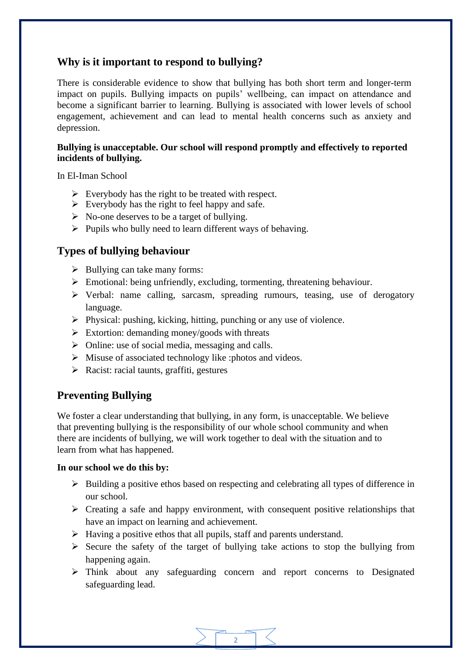## **Why is it important to respond to bullying?**

There is considerable evidence to show that bullying has both short term and longer-term impact on pupils. Bullying impacts on pupils' wellbeing, can impact on attendance and become a significant barrier to learning. Bullying is associated with lower levels of school engagement, achievement and can lead to mental health concerns such as anxiety and depression.

#### **Bullying is unacceptable. Our school will respond promptly and effectively to reported incidents of bullying.**

In El-Iman School

- $\triangleright$  Everybody has the right to be treated with respect.
- $\triangleright$  Everybody has the right to feel happy and safe.
- $\triangleright$  No-one deserves to be a target of bullying.
- $\triangleright$  Pupils who bully need to learn different ways of behaving.

#### **Types of bullying behaviour**

- $\triangleright$  Bullying can take many forms:
- ➢ Emotional: being unfriendly, excluding, tormenting, threatening behaviour.
- ➢ Verbal: name calling, sarcasm, spreading rumours, teasing, use of derogatory language.
- ➢ Physical: pushing, kicking, hitting, punching or any use of violence.
- $\triangleright$  Extortion: demanding money/goods with threats
- $\triangleright$  Online: use of social media, messaging and calls.
- ➢ Misuse of associated technology like :photos and videos.
- ➢ Racist: racial taunts, graffiti, gestures

## **Preventing Bullying**

We foster a clear understanding that bullying, in any form, is unacceptable. We believe that preventing bullying is the responsibility of our whole school community and when there are incidents of bullying, we will work together to deal with the situation and to learn from what has happened.

#### **In our school we do this by:**

- ➢ Building a positive ethos based on respecting and celebrating all types of difference in our school.
- ➢ Creating a safe and happy environment, with consequent positive relationships that have an impact on learning and achievement.
- ➢ Having a positive ethos that all pupils, staff and parents understand.
- $\triangleright$  Secure the safety of the target of bullying take actions to stop the bullying from happening again.
- ➢ Think about any safeguarding concern and report concerns to Designated safeguarding lead.

2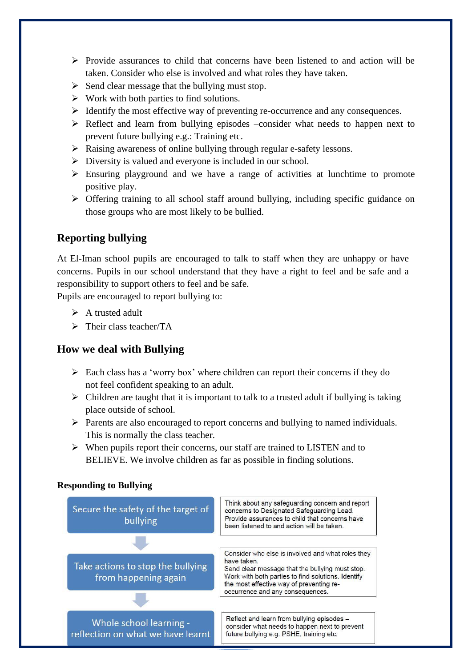- $\triangleright$  Provide assurances to child that concerns have been listened to and action will be taken. Consider who else is involved and what roles they have taken.
- $\triangleright$  Send clear message that the bullying must stop.
- $\triangleright$  Work with both parties to find solutions.
- ➢ Identify the most effective way of preventing re-occurrence and any consequences.
- ➢ Reflect and learn from bullying episodes –consider what needs to happen next to prevent future bullying e.g.: Training etc.
- ➢ Raising awareness of online bullying through regular e-safety lessons.
- $\triangleright$  Diversity is valued and everyone is included in our school.
- ➢ Ensuring playground and we have a range of activities at lunchtime to promote positive play.
- ➢ Offering training to all school staff around bullying, including specific guidance on those groups who are most likely to be bullied.

## **Reporting bullying**

At El-Iman school pupils are encouraged to talk to staff when they are unhappy or have concerns. Pupils in our school understand that they have a right to feel and be safe and a responsibility to support others to feel and be safe.

Pupils are encouraged to report bullying to:

- $\triangleright$  A trusted adult
- ➢ Their class teacher/TA

## **How we deal with Bullying**

- ➢ Each class has a 'worry box' where children can report their concerns if they do not feel confident speaking to an adult.
- $\triangleright$  Children are taught that it is important to talk to a trusted adult if bullying is taking place outside of school.
- ➢ Parents are also encouraged to report concerns and bullying to named individuals. This is normally the class teacher.
- ➢ When pupils report their concerns, our staff are trained to LISTEN and to BELIEVE. We involve children as far as possible in finding solutions.

#### **Responding to Bullying**